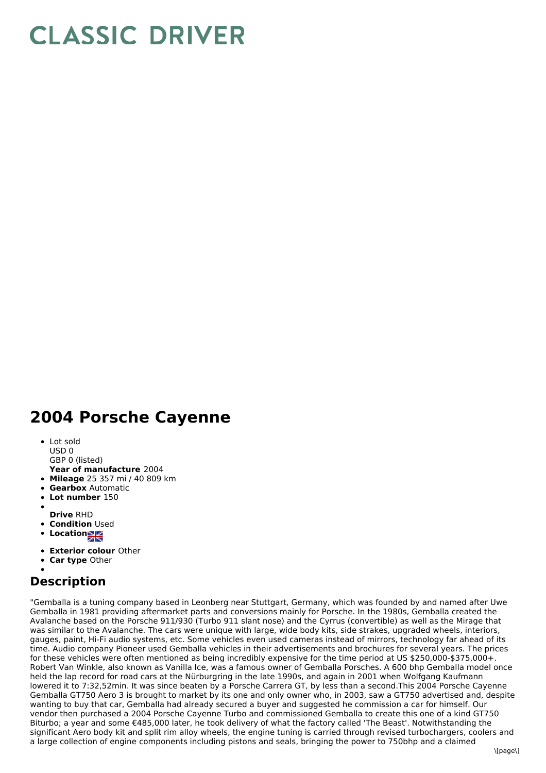## **CLASSIC DRIVER**

## **2004 Porsche Cayenne**

- Lot sold USD 0
- GBP 0 (listed)
- **Year of manufacture** 2004
- **Mileage** 25 357 mi / 40 809 km
- **Gearbox** Automatic
- **Lot number** 150
- 
- **Drive** RHD
- **Condition Used**
- **Locations**
- **Exterior colour** Other
- **Car type** Other

## **Description**

"Gemballa is a tuning company based in Leonberg near Stuttgart, Germany, which was founded by and named after Uwe Gemballa in 1981 providing aftermarket parts and conversions mainly for Porsche. In the 1980s, Gemballa created the Avalanche based on the Porsche 911/930 (Turbo 911 slant nose) and the Cyrrus (convertible) as well as the Mirage that was similar to the Avalanche. The cars were unique with large, wide body kits, side strakes, upgraded wheels, interiors, gauges, paint, Hi-Fi audio systems, etc. Some vehicles even used cameras instead of mirrors, technology far ahead of its time. Audio company Pioneer used Gemballa vehicles in their advertisements and brochures for several years. The prices for these vehicles were often mentioned as being incredibly expensive for the time period at US \$250,000-\$375,000+. Robert Van Winkle, also known as Vanilla Ice, was a famous owner of Gemballa Porsches. A 600 bhp Gemballa model once held the lap record for road cars at the Nürburgring in the late 1990s, and again in 2001 when Wolfgang Kaufmann lowered it to 7:32,52min. It was since beaten by a Porsche Carrera GT, by less than a second.This 2004 Porsche Cayenne Gemballa GT750 Aero 3 is brought to market by its one and only owner who, in 2003, saw a GT750 advertised and, despite wanting to buy that car, Gemballa had already secured a buyer and suggested he commission a car for himself. Our vendor then purchased a 2004 Porsche Cayenne Turbo and commissioned Gemballa to create this one of a kind GT750 Biturbo; a year and some €485,000 later, he took delivery of what the factory called 'The Beast'. Notwithstanding the significant Aero body kit and split rim alloy wheels, the engine tuning is carried through revised turbochargers, coolers and a large collection of engine components including pistons and seals, bringing the power to 750bhp and a claimed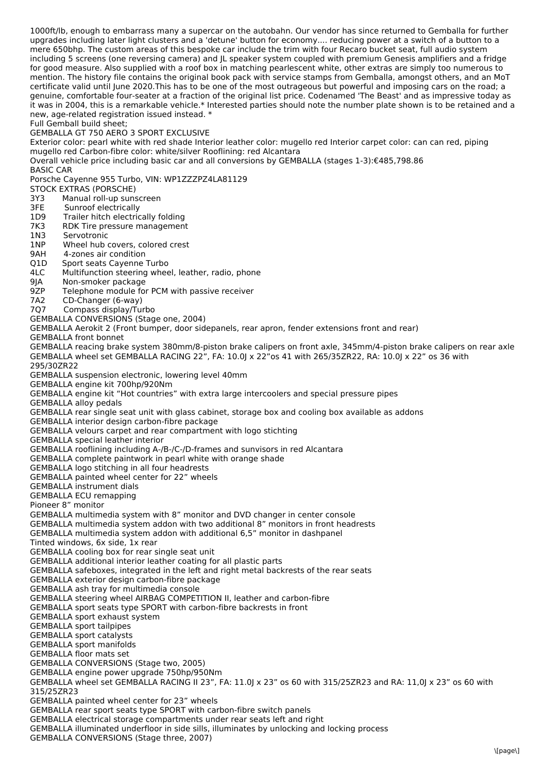1000ft/lb, enough to embarrass many a supercar on the autobahn. Our vendor has since returned to Gemballa for further upgrades including later light clusters and a 'detune' button for economy.... reducing power at a switch of a button to a mere 650bhp. The custom areas of this bespoke car include the trim with four Recaro bucket seat, full audio system including 5 screens (one reversing camera) and JL speaker system coupled with premium Genesis amplifiers and a fridge for good measure. Also supplied with a roof box in matching pearlescent white, other extras are simply too numerous to mention. The history file contains the original book pack with service stamps from Gemballa, amongst others, and an MoT certificate valid until June 2020.This has to be one of the most outrageous but powerful and imposing cars on the road; a genuine, comfortable four-seater at a fraction of the original list price. Codenamed 'The Beast' and as impressive today as it was in 2004, this is a remarkable vehicle.\* Interested parties should note the number plate shown is to be retained and a new, age-related registration issued instead. \*

Full Gemball build sheet;

## GEMBALLA GT 750 AERO 3 SPORT EXCLUSIVE

Exterior color: pearl white with red shade Interior leather color: mugello red Interior carpet color: can can red, piping mugello red Carbon-fibre color: white/silver Rooflining: red Alcantara

Overall vehicle price including basic car and all conversions by GEMBALLA (stages 1-3):€485,798.86

BASIC CAR

Porsche Cayenne 955 Turbo, VIN: WP1ZZZPZ4LA81129

STOCK EXTRAS (PORSCHE)

- 3Y3 Manual roll-up sunscreen
- 3FE Sunroof electrically
- 1D9 Trailer hitch electrically folding
- 7K3 RDK Tire pressure management
- 1N3 Servotronic
- 1NP Wheel hub covers, colored crest
- 9AH 4-zones air condition
- Q1D Sport seats Cayenne Turbo
- 4LC Multifunction steering wheel, leather, radio, phone
- 9JA Non-smoker package
- 9ZP Telephone module for PCM with passive receiver
- 
- 7A2 CD-Changer (6-way) Compass display/Turbo
- GEMBALLA CONVERSIONS (Stage one, 2004)

GEMBALLA Aerokit 2 (Front bumper, door sidepanels, rear apron, fender extensions front and rear)

GEMBALLA front bonnet

GEMBALLA reacing brake system 380mm/8-piston brake calipers on front axle, 345mm/4-piston brake calipers on rear axle GEMBALLA wheel set GEMBALLA RACING 22", FA: 10.0J x 22"os 41 with 265/35ZR22, RA: 10.0J x 22" os 36 with

295/30ZR22

GEMBALLA suspension electronic, lowering level 40mm

GEMBALLA engine kit 700hp/920Nm

GEMBALLA engine kit "Hot countries" with extra large intercoolers and special pressure pipes

GEMBALLA alloy pedals

GEMBALLA rear single seat unit with glass cabinet, storage box and cooling box available as addons

GEMBALLA interior design carbon-fibre package

GEMBALLA velours carpet and rear compartment with logo stichting

GEMBALLA special leather interior

GEMBALLA rooflining including A-/B-/C-/D-frames and sunvisors in red Alcantara

GEMBALLA complete paintwork in pearl white with orange shade

GEMBALLA logo stitching in all four headrests

GEMBALLA painted wheel center for 22" wheels

GEMBALLA instrument dials

GEMBALLA ECU remapping

Pioneer 8" monitor

GEMBALLA multimedia system with 8" monitor and DVD changer in center console

GEMBALLA multimedia system addon with two additional 8" monitors in front headrests

GEMBALLA multimedia system addon with additional 6,5" monitor in dashpanel

Tinted windows, 6x side, 1x rear

GEMBALLA cooling box for rear single seat unit

GEMBALLA additional interior leather coating for all plastic parts

GEMBALLA safeboxes, integrated in the left and right metal backrests of the rear seats

GEMBALLA exterior design carbon-fibre package

GEMBALLA ash tray for multimedia console

GEMBALLA steering wheel AIRBAG COMPETITION II, leather and carbon-fibre

GEMBALLA sport seats type SPORT with carbon-fibre backrests in front

GEMBALLA sport exhaust system

GEMBALLA sport tailpipes

GEMBALLA sport catalysts

GEMBALLA sport manifolds

GEMBALLA floor mats set

GEMBALLA CONVERSIONS (Stage two, 2005)

GEMBALLA engine power upgrade 750hp/950Nm GEMBALLA wheel set GEMBALLA RACING II 23", FA: 11.0J x 23" os 60 with 315/25ZR23 and RA: 11,0J x 23" os 60 with

315/25ZR23

GEMBALLA painted wheel center for 23" wheels

GEMBALLA rear sport seats type SPORT with carbon-fibre switch panels

GEMBALLA electrical storage compartments under rear seats left and right

GEMBALLA illuminated underfloor in side sills, illuminates by unlocking and locking process

GEMBALLA CONVERSIONS (Stage three, 2007)